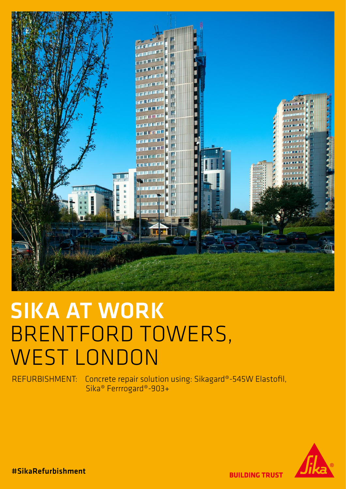

# SIKA AT WORK BRENTFORD TOWERS, WEST LONDON

REFURBISHMENT: Concrete repair solution using: Sikagard®-545W Elastofil, Sika® Ferrrogard®-903+



#SikaRefurbishment

**BUILDING TRUST**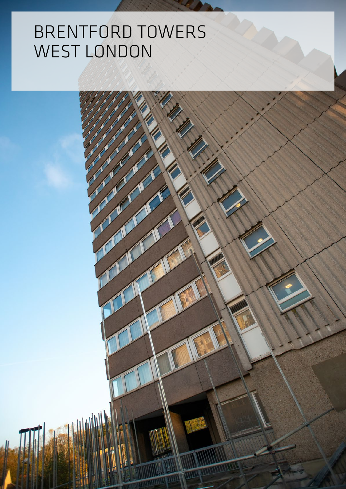## BRENTFORD TOWERS WEST LONDON

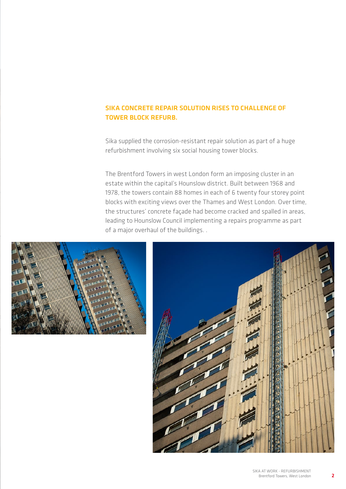### SIKA CONCRETE REPAIR SOLUTION RISES TO CHALLENGE OF TOWER BLOCK REFURB.

Sika supplied the corrosion-resistant repair solution as part of a huge refurbishment involving six social housing tower blocks.

The Brentford Towers in west London form an imposing cluster in an estate within the capital's Hounslow district. Built between 1968 and 1978, the towers contain 88 homes in each of 6 twenty four storey point blocks with exciting views over the Thames and West London. Over time, the structures' concrete façade had become cracked and spalled in areas, leading to Hounslow Council implementing a repairs programme as part of a major overhaul of the buildings. .